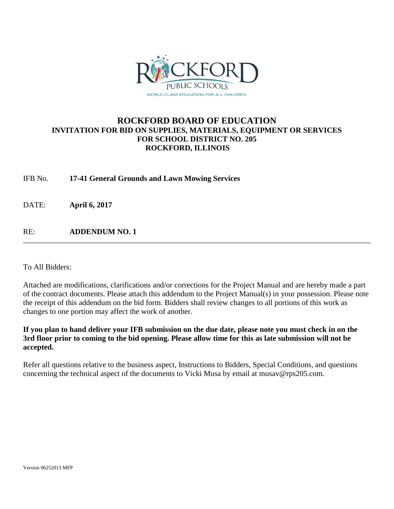

# **ROCKFORD BOARD OF EDUCATION INVITATION FOR BID ON SUPPLIES, MATERIALS, EQUIPMENT OR SERVICES FOR SCHOOL DISTRICT NO. 205 ROCKFORD, ILLINOIS**

IFB No. **17-41 General Grounds and Lawn Mowing Services**

DATE: **April 6, 2017**

RE: **ADDENDUM NO. 1**

To All Bidders:

Attached are modifications, clarifications and/or corrections for the Project Manual and are hereby made a part of the contract documents. Please attach this addendum to the Project Manual(s) in your possession. Please note the receipt of this addendum on the bid form. Bidders shall review changes to all portions of this work as changes to one portion may affect the work of another.

**If you plan to hand deliver your IFB submission on the due date, please note you must check in on the 3rd floor prior to coming to the bid opening. Please allow time for this as late submission will not be accepted.**

Refer all questions relative to the business aspect, Instructions to Bidders, Special Conditions, and questions concerning the technical aspect of the documents to Vicki Musa by email at musav@rps205.com.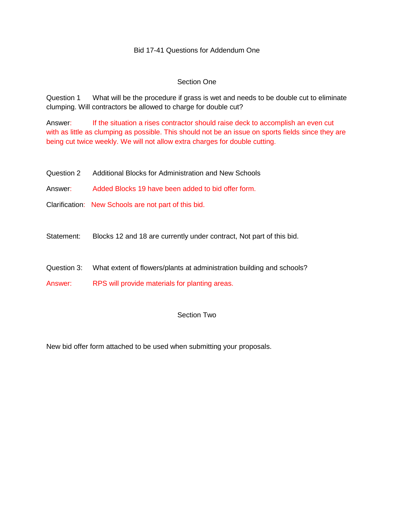#### Bid 17-41 Questions for Addendum One

#### Section One

Question 1 What will be the procedure if grass is wet and needs to be double cut to eliminate clumping. Will contractors be allowed to charge for double cut?

Answer: If the situation a rises contractor should raise deck to accomplish an even cut with as little as clumping as possible. This should not be an issue on sports fields since they are being cut twice weekly. We will not allow extra charges for double cutting.

Question 2 Additional Blocks for Administration and New Schools

Answer: Added Blocks 19 have been added to bid offer form.

Clarification: New Schools are not part of this bid.

Statement: Blocks 12 and 18 are currently under contract, Not part of this bid.

Question 3: What extent of flowers/plants at administration building and schools?

Answer: RPS will provide materials for planting areas.

### Section Two

New bid offer form attached to be used when submitting your proposals.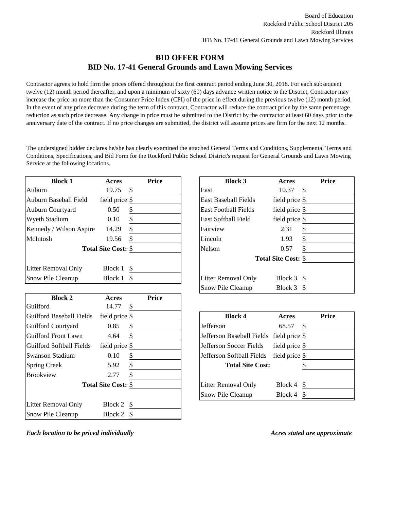### **BID OFFER FORM BID No. 17-41 General Grounds and Lawn Mowing Services**

Contractor agrees to hold firm the prices offered throughout the first contract period ending June 30, 2018. For each subsequent twelve (12) month period thereafter, and upon a minimum of sixty (60) days advance written notice to the District, Contractor may increase the price no more than the Consumer Price Index (CPI) of the price in effect during the previous twelve (12) month period. In the event of any price decrease during the term of this contract, Contractor will reduce the contract price by the same percentage reduction as such price decrease. Any change in price must be submitted to the District by the contractor at least 60 days prior to the anniversary date of the contract. If no price changes are submitted, the district will assume prices are firm for the next 12 months.

The undersigned bidder declares he/she has clearly examined the attached General Terms and Conditions, Supplemental Terms and Conditions, Specifications, and Bid Form for the Rockford Public School District's request for General Grounds and Lawn Mowing Service at the following locations.

| <b>Block 1</b>           | Acres                      |    | <b>Price</b> | <b>Block 3</b>              | Acres                      |
|--------------------------|----------------------------|----|--------------|-----------------------------|----------------------------|
| Auburn                   | 19.75                      | S  |              | East                        | \$<br>10.37                |
| Auburn Baseball Field    | field price \$             |    |              | <b>East Baseball Fields</b> | field price \$             |
| <b>Auburn Courtyard</b>  | 0.50                       | S  |              | <b>East Football Fields</b> | field price \$             |
| <b>Wyeth Stadium</b>     | 0.10                       | \$ |              | <b>East Softball Field</b>  | field price \$             |
| Kennedy / Wilson Aspire  | 14.29                      | S  |              | Fairview                    | $\frac{3}{2}$<br>2.31      |
| McIntosh                 | 19.56                      | S  |              | Lincoln                     | $\frac{3}{2}$<br>1.93      |
|                          | <b>Total Site Cost: \$</b> |    |              | Nelson                      | \$<br>0.57                 |
|                          |                            |    |              |                             | <b>Total Site Cost: \$</b> |
| Litter Removal Only      | Block 1                    | -S |              |                             |                            |
| <b>Snow Pile Cleanup</b> | Block 1                    | -S |              | <b>Litter Removal Only</b>  | Block $3 \sqrt{5}$         |

| <b>Block 2</b>                  | Acres                      |    | <b>Price</b> |                                          |                |               |
|---------------------------------|----------------------------|----|--------------|------------------------------------------|----------------|---------------|
| Guilford                        | 14.77                      | \$ |              |                                          |                |               |
| <b>Guilford Baseball Fields</b> | field price \$             |    |              | <b>Block 4</b>                           | Acres          |               |
| <b>Guilford Courtyard</b>       | 0.85                       | S  |              | Jefferson                                | 68.57          | \$.           |
| Guilford Front Lawn             | 4.64                       |    |              | Jefferson Baseball Fields field price \$ |                |               |
| Guilford Softball Fields        | field price \$             |    |              | Jefferson Soccer Fields                  | field price \$ |               |
| <b>Swanson Stadium</b>          | 0.10                       | \$ |              | Jefferson Softball Fields                | field price \$ |               |
| <b>Spring Creek</b>             | 5.92                       | \$ |              | <b>Total Site Cost:</b>                  |                |               |
| <b>Brookview</b>                | 2.77                       |    |              |                                          |                |               |
|                                 | <b>Total Site Cost: \$</b> |    |              | <b>Litter Removal Only</b>               | Block 4        | -S            |
|                                 |                            |    |              | Snow Pile Cleanup                        | Block 4        | <sup>\$</sup> |
| Litter Removal Only             | Block $2 \quad$            |    |              |                                          |                |               |
| <b>Snow Pile Cleanup</b>        | Block 2                    | -S |              |                                          |                |               |
|                                 |                            |    |              |                                          |                |               |

| Acres   |    |                                                                    | Acres           | <b>Price</b>               |
|---------|----|--------------------------------------------------------------------|-----------------|----------------------------|
| 19.75   | S  | East                                                               | 10.37           | \$                         |
|         |    | <b>East Baseball Fields</b>                                        | field price \$  |                            |
| 0.50    | S  | <b>East Football Fields</b>                                        | field price \$  |                            |
| 0.10    | S  | East Softball Field                                                | field price \$  |                            |
| 14.29   | \$ | Fairview                                                           | 2.31            | \$                         |
| 19.56   |    | Lincoln                                                            | 1.93            | \$                         |
|         |    | <b>Nelson</b>                                                      | 0.57            | \$                         |
|         |    |                                                                    |                 |                            |
| Block 1 | \$ |                                                                    |                 |                            |
| Block 1 |    | <b>Litter Removal Only</b>                                         | Block $3 \quad$ |                            |
|         |    | Snow Pile Cleanup                                                  | Block $3 \quad$ |                            |
|         |    | <b>Price</b><br>field price \$<br><b>Total Site Cost: \$</b><br>-S | <b>Block 3</b>  | <b>Total Site Cost: \$</b> |

| \$<br><b>Block 4</b>                           | Acres          | <b>Price</b> |
|------------------------------------------------|----------------|--------------|
| \$<br>Jefferson                                | 68.57          |              |
| \$<br>Jefferson Baseball Fields field price \$ |                |              |
| \$<br>Jefferson Soccer Fields                  | field price \$ |              |
| \$<br>Jefferson Softball Fields                | field price \$ |              |
| \$<br><b>Total Site Cost:</b>                  |                |              |
| \$                                             |                |              |
| \$<br><b>Litter Removal Only</b>               | Block 4        |              |
| Snow Pile Cleanup                              | Block 4        |              |

*Each location to be priced individually Acres stated are approximate*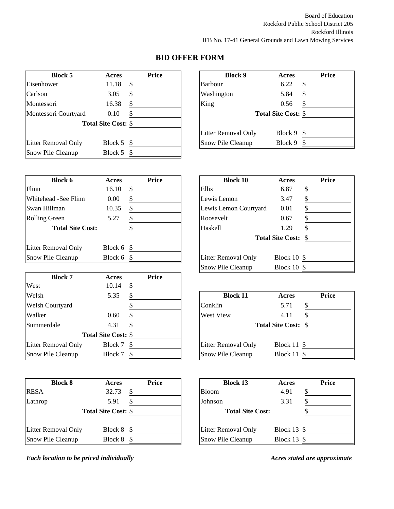| <b>Block 5</b>             | Acres                      |    | <b>Price</b> | <b>Block 9</b>             | Acres                      |
|----------------------------|----------------------------|----|--------------|----------------------------|----------------------------|
| Eisenhower                 | 11.18                      | S  |              | <b>Barbour</b>             | $\frac{3}{2}$<br>6.22      |
| Carlson                    | 3.05                       | S  |              | Washington                 | $\frac{1}{2}$<br>5.84      |
| Montessori                 | 16.38                      | \$ |              | King                       | \$<br>0.56                 |
| Montessori Courtyard       | 0.10                       |    |              |                            | <b>Total Site Cost: \$</b> |
|                            | <b>Total Site Cost: \$</b> |    |              |                            |                            |
|                            |                            |    |              | <b>Litter Removal Only</b> | Block 9 \$                 |
| <b>Litter Removal Only</b> | Block $5 \text{ }$ \$      |    |              | Snow Pile Cleanup          | Block 9 \$                 |
| Snow Pile Cleanup          | Block 5                    |    |              |                            |                            |

| <b>Block 5</b> | Acres                      | <b>Price</b> | <b>Block 9</b>             | Acres                      | <b>Price</b> |
|----------------|----------------------------|--------------|----------------------------|----------------------------|--------------|
| er/            | 11.18                      |              | <b>Barbour</b>             | 6.22                       | \$.          |
|                | 3.05                       |              | Washington                 | 5.84                       |              |
| ri             | 16.38                      |              | King                       | 0.56                       |              |
| ori Courtyard  | 0.10                       |              |                            | <b>Total Site Cost: \$</b> |              |
|                | <b>Total Site Cost: \$</b> |              |                            |                            |              |
|                |                            |              | <b>Litter Removal Only</b> | Block $9 \text{ }$         |              |
| moval Only     | Block 5                    | -S           | Snow Pile Cleanup          | Block $9 \text{ }$         |              |

| <b>Block 6</b>             | Acres                 | Price | <b>Block 10</b>       | Acres                      |
|----------------------------|-----------------------|-------|-----------------------|----------------------------|
| Flinn                      | 16.10                 | S     | Ellis                 | $\frac{3}{2}$<br>6.87      |
| Whitehead -See Flinn       | 0.00                  |       | Lewis Lemon           | $\frac{1}{2}$<br>3.47      |
| Swan Hillman               | 10.35                 | \$    | Lewis Lemon Courtyard | $\frac{1}{2}$<br>0.01      |
| <b>Rolling Green</b>       | 5.27                  |       | Roosevelt             | $\frac{1}{2}$<br>0.67      |
| <b>Total Site Cost:</b>    |                       |       | Haskell               | \$<br>1.29                 |
|                            |                       |       |                       | <b>Total Site Cost: \$</b> |
| <b>Litter Removal Only</b> | Block $6 \text{ }$ \$ |       |                       |                            |
| Snow Pile Cleanup          | Block $6 \text{ }$ \$ |       | Litter Removal Only   | Block $10 \text{ }$ \$     |

| <b>Block 7</b>         | Acres                      |     | <b>Price</b> |                            |                            |       |
|------------------------|----------------------------|-----|--------------|----------------------------|----------------------------|-------|
| West                   | 10.14                      | S   |              |                            |                            |       |
| Welsh                  | 5.35                       |     |              | <b>Block 11</b>            | Acres                      | Price |
| <b>Welsh Courtyard</b> |                            |     |              | Conklin                    | 5.71                       | \$    |
| Walker                 | 0.60                       |     |              | <b>West View</b>           | 4.11                       |       |
| Summerdale             | 4.31                       |     |              |                            | <b>Total Site Cost: \$</b> |       |
|                        | <b>Total Site Cost: \$</b> |     |              |                            |                            |       |
| Litter Removal Only    | Block 7                    | - S |              | <b>Litter Removal Only</b> | Block $11$ \$              |       |
| Snow Pile Cleanup      | Block 7                    |     |              | Snow Pile Cleanup          | Block $11 \text{ }$ \$     |       |

| <b>Block 8</b>           | Acres                      | Price | <b>Block 13</b>            | Acres                    |
|--------------------------|----------------------------|-------|----------------------------|--------------------------|
| <b>RESA</b>              | 32.73                      | \$.   | <b>Bloom</b>               | $\frac{1}{2}$<br>4.91    |
| Lathrop                  | 5.91                       | \$    | Johnson                    | $\frac{1}{2}$<br>3.31    |
|                          | <b>Total Site Cost: \$</b> |       | <b>Total Site Cost:</b>    | $\overline{\mathcal{C}}$ |
| Litter Removal Only      | Block 8 \$                 |       | <b>Litter Removal Only</b> | Block 13 $$$             |
| <b>Snow Pile Cleanup</b> | Block 8                    | -S    | <b>Snow Pile Cleanup</b>   | Block 13 $$$             |

*Each location to be priced individually Acres stated are approximate*

| Block 6                 | Acres   | <b>Price</b> | <b>Block 10</b>       | Acres                      | <b>Price</b> |
|-------------------------|---------|--------------|-----------------------|----------------------------|--------------|
|                         | 16.10   | S            | Ellis                 | 6.87                       |              |
| d -See Flinn            | 0.00    |              | Lewis Lemon           | 3.47                       |              |
| lman                    | 10.35   |              | Lewis Lemon Courtyard | 0.01                       |              |
| ireen                   | 5.27    |              | Roosevelt             | 0.67                       |              |
| <b>Total Site Cost:</b> |         |              | Haskell               | 1.29                       |              |
|                         |         |              |                       | <b>Total Site Cost: \$</b> |              |
| moval Only              | Block 6 | -S           |                       |                            |              |
| e Cleanup               | Block 6 |              | Litter Removal Only   | Block $10 \text{ }$ \$     |              |
|                         |         |              | Snow Pile Cleanup     | Block $10 \text{ }$ \$     |              |

| <b>Block 11</b>            | Acres                  |     | <b>Price</b> |
|----------------------------|------------------------|-----|--------------|
| Conklin                    | 5.71                   |     |              |
| West View                  | 4.11                   |     |              |
| <b>Total Site Cost: \$</b> |                        |     |              |
| Litter Removal Only        | Block $11 \text{ }$ \$ |     |              |
| Snow Pile Cleanup          | Block 11               | - S |              |

| <b>Block 8</b> | Acres                      | Price | <b>Block 13</b>            | Acres                  | <b>Price</b> |
|----------------|----------------------------|-------|----------------------------|------------------------|--------------|
|                | 32.73                      |       | <b>Bloom</b>               | 4.91                   |              |
|                | 5.91                       |       | Johnson                    | 3.31                   |              |
|                | <b>Total Site Cost: \$</b> |       | <b>Total Site Cost:</b>    |                        |              |
| moval Only     | Block 8                    | -8    | <b>Litter Removal Only</b> | Block $13 \text{ }$ \$ |              |
| e Cleanup      | Block 8                    |       | Snow Pile Cleanup          | <b>Block 13 \$</b>     |              |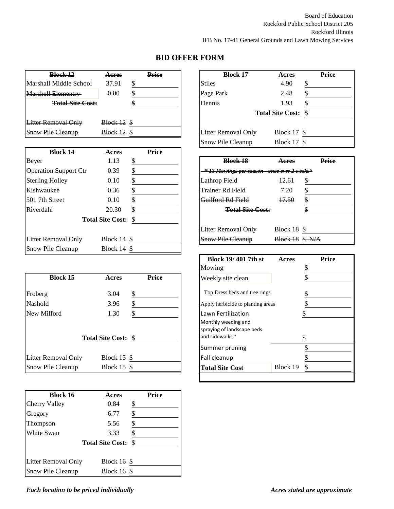| <b>Block 12</b>               | <b>Acres</b> |    | Price | <b>Block 17</b>                                | Acres                      |
|-------------------------------|--------------|----|-------|------------------------------------------------|----------------------------|
| <b>Marshall Middle School</b> | 37.91        | \$ |       | <b>Stiles</b>                                  | $\frac{6}{5}$<br>4.90      |
| <b>Marshell Elementry</b>     | 0.00         | \$ |       | Page Park                                      | $\frac{6}{5}$<br>2.48      |
| <b>Total Site Cost:</b>       |              |    |       | Dennis                                         | \$<br>1.93                 |
|                               |              |    |       |                                                | <b>Total Site Cost: \$</b> |
| <b>Litter Removal Only</b>    | Block 12     | -S |       |                                                |                            |
| <b>Snow Pile Cleanup</b>      | Block 12     | S  |       | Litter Removal Only                            | Block 17 $$$               |
|                               |              |    |       | $C_{\text{max}}$ $D_{\text{max}}^{\text{max}}$ | $D1_{0.2}1_{2}17_{0}$      |

| <b>Block 14</b>              | Acres                      |   | <b>Price</b> |                                                     |                     |       |
|------------------------------|----------------------------|---|--------------|-----------------------------------------------------|---------------------|-------|
| Beyer                        | 1.13                       | S |              | <b>Block 18</b>                                     | Aeres               | Price |
| <b>Operation Support Ctr</b> | 0.39                       |   |              | <u>* 13 Mowings per season - once ever 2 weeks*</u> |                     |       |
| <b>Sterling Holley</b>       | 0.10                       |   |              | <b>Lathrop Field</b>                                | 12.61               | \$    |
| Kishwaukee                   | 0.36                       |   |              | <b>Trainer Rd Field</b>                             | 7,20                | \$    |
| 1501 7th Street              | 0.10                       |   |              | <del>Guilford Rd Field</del>                        | 17.50               | \$    |
| Riverdahl                    | 20.30                      |   |              | <b>Total Site Cost:</b>                             |                     |       |
|                              | <b>Total Site Cost: \$</b> |   |              |                                                     |                     |       |
|                              |                            |   |              | <b>Litter Removal Only</b>                          | $Block 18$ \$       |       |
| Litter Removal Only          | Block $14 \text{ }$ \$     |   |              | <b>Snow Pile Cleanup</b>                            | $Block 18$ \$ $N/A$ |       |
| Snow Pile Cleanup            | Block $14 \text{ }$ \$     |   |              |                                                     |                     |       |

|                          |                            |       | $\cdots$                                                             | ž             |
|--------------------------|----------------------------|-------|----------------------------------------------------------------------|---------------|
| <b>Block 15</b>          | Acres                      | Price | Weekly site clean                                                    | $\frac{6}{5}$ |
| Froberg                  | 3.04                       | \$    | Top Dress beds and tree rings                                        |               |
| Nashold                  | 3.96                       | \$    | Apply herbicide to planting areas                                    | $\frac{1}{2}$ |
| New Milford              | 1.30                       |       | Lawn Fertilization                                                   | \$            |
|                          | <b>Total Site Cost: \$</b> |       | Monthly weeding and<br>spraying of landscape beds<br>and sidewalks * |               |
|                          |                            |       | Summer pruning                                                       |               |
| Litter Removal Only      | Block $15 \text{ }$ \$     |       | Fall cleanup                                                         |               |
| <b>Snow Pile Cleanup</b> | Block $15 \text{ }$ \$     |       | Block 19<br><b>Total Site Cost</b>                                   |               |
|                          |                            |       |                                                                      |               |

| <b>Block 16</b>      | <b>Acres</b>            | <b>Price</b> |
|----------------------|-------------------------|--------------|
| <b>Cherry Valley</b> | 0.84                    | \$           |
| Gregory              | 6.77                    | \$           |
| Thompson             | 5.56                    | \$           |
| White Swan           | 3.33                    | \$           |
|                      | <b>Total Site Cost:</b> | \$           |
| Litter Removal Only  | <b>Block 16 \$</b>      |              |
| Snow Pile Cleanup    | <b>Block 16 \$</b>      |              |

| Block 12                | <b>Acres</b>       | <b>Price</b> | <b>Block 17</b>            | Acres                      | <b>Price</b> |
|-------------------------|--------------------|--------------|----------------------------|----------------------------|--------------|
| Middle School           | 37.91              | \$           | <b>Stiles</b>              | 4.90                       |              |
| Elementry               | 0.00               | \$           | Page Park                  | 2.48                       |              |
| <b>Total Site Cost:</b> |                    | ð.           | Dennis                     | 1.93                       |              |
|                         |                    |              |                            | <b>Total Site Cost: \$</b> |              |
| <del>moval Only</del>   | $Block 12$ \$      |              |                            |                            |              |
| le <del>Cleanup</del>   | <b>Block 12 \$</b> |              | <b>Litter Removal Only</b> | Block $17 \text{ }$ \$     |              |
|                         |                    |              | <b>Snow Pile Cleanup</b>   | <b>Block 17 \$</b>         |              |

| <b>Block 18</b>                                     | Acres                  | Price |
|-----------------------------------------------------|------------------------|-------|
| <u>* 13 Mowings per season - once ever 2 weeks*</u> |                        |       |
| Lathrop Field                                       | 12.61                  | \$    |
| Trainer Rd Field                                    | 7.20                   | \$    |
| Guilford Rd Field                                   | 17.50                  | \$    |
| <b>Total Site Cost:</b>                             |                        | \$    |
| <b>Litter Removal Only</b>                          | <b>Block 18 \$</b>     |       |
| <b>Snow Pile Cleanup</b>                            | <b>Block 18 \$ N/A</b> |       |

| <b>Block 19/401 7th st</b>                                           | Acres    | Price |
|----------------------------------------------------------------------|----------|-------|
| Mowing                                                               |          |       |
| Weekly site clean                                                    |          |       |
| Top Dress beds and tree rings<br>Apply herbicide to planting areas   |          |       |
| Lawn Fertilization                                                   |          |       |
| Monthly weeding and<br>spraying of landscape beds<br>and sidewalks * |          |       |
|                                                                      |          |       |
| Summer pruning                                                       |          |       |
| Fall cleanup                                                         |          |       |
| <b>Total Site Cost</b>                                               | Block 19 |       |
|                                                                      |          |       |

*Each location to be priced individually Acres stated are approximate*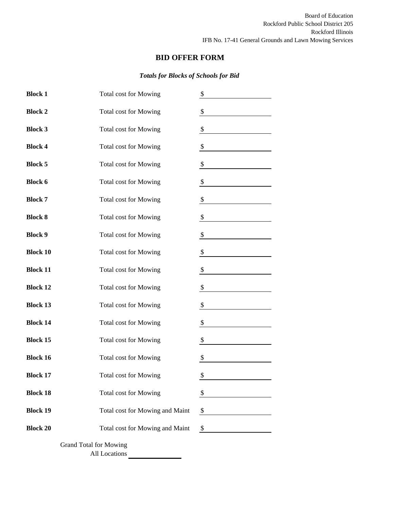# *Totals for Blocks of Schools for Bid*

| <b>Block 1</b>  | <b>Total cost for Mowing</b>    | \$   |
|-----------------|---------------------------------|------|
| <b>Block 2</b>  | <b>Total cost for Mowing</b>    | \$   |
| <b>Block 3</b>  | <b>Total cost for Mowing</b>    | \$   |
| <b>Block 4</b>  | <b>Total cost for Mowing</b>    | \$   |
| <b>Block 5</b>  | <b>Total cost for Mowing</b>    | \$   |
| <b>Block 6</b>  | <b>Total cost for Mowing</b>    | \$   |
| <b>Block 7</b>  | <b>Total cost for Mowing</b>    | \$   |
| <b>Block 8</b>  | <b>Total cost for Mowing</b>    | \$   |
| <b>Block 9</b>  | <b>Total cost for Mowing</b>    | \$   |
| <b>Block 10</b> | <b>Total cost for Mowing</b>    | \$   |
| <b>Block 11</b> | <b>Total cost for Mowing</b>    | \$   |
| <b>Block 12</b> | <b>Total cost for Mowing</b>    | \$   |
| <b>Block 13</b> | <b>Total cost for Mowing</b>    | \$   |
| <b>Block 14</b> | <b>Total cost for Mowing</b>    | \$   |
| <b>Block 15</b> | <b>Total cost for Mowing</b>    | \$   |
| <b>Block 16</b> | <b>Total cost for Mowing</b>    | \$   |
| <b>Block 17</b> | <b>Total cost for Mowing</b>    | \$   |
| <b>Block 18</b> | <b>Total cost for Mowing</b>    | \$   |
| <b>Block 19</b> | Total cost for Mowing and Maint | \$   |
| <b>Block 20</b> | Total cost for Mowing and Maint | $\$$ |
|                 | <b>Grand Total for Mowing</b>   |      |

All Locations